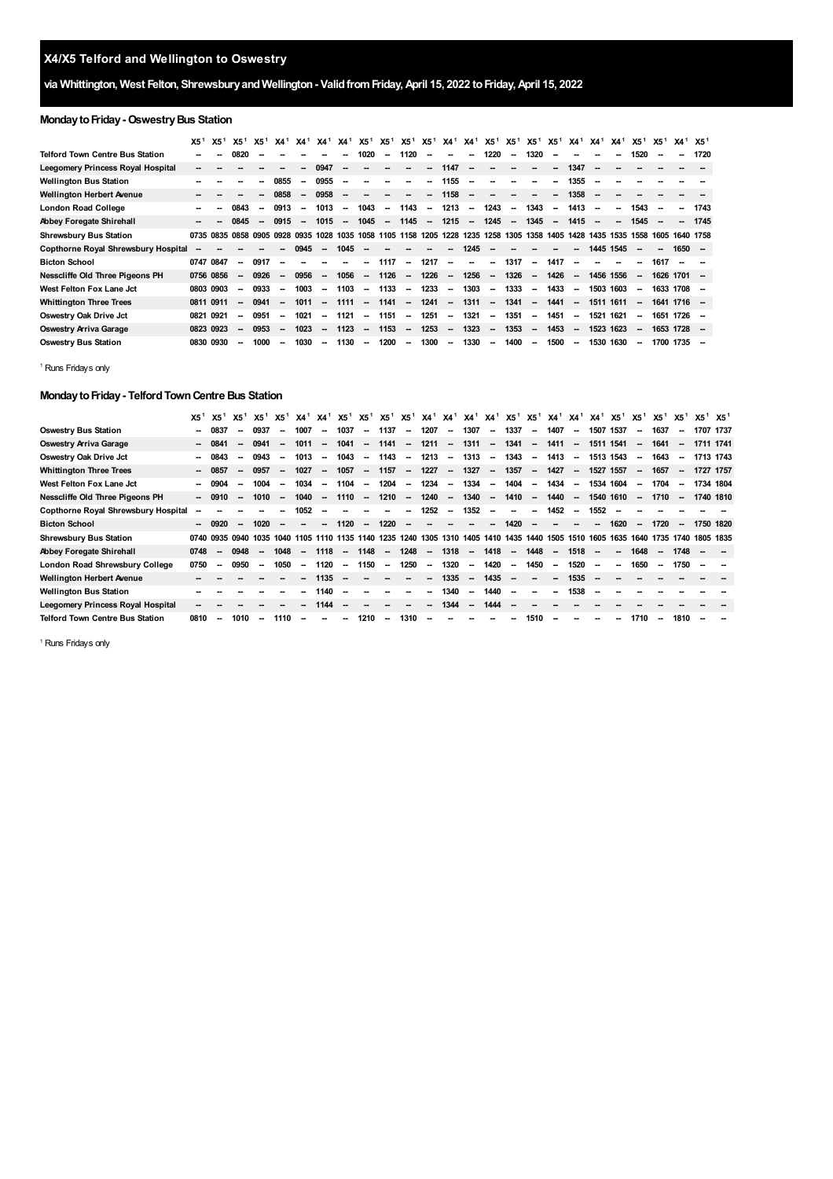# **X4/X5 Telford and Wellington to Oswestry**

## **via Whittington, West Felton, ShrewsburyandWellington- ValidfromFriday,April 15, 2022 toFriday,April 15, 2022**

## **Monday to Friday - Oswestry Bus Station**

|                                        | X5 <sup>1</sup> | X5 <sup>1</sup> | X5 <sup>1</sup>          | X5 <sup>1</sup>          | X4 <sup>1</sup>          |                          | $X4^1$ $X4^1$            | X4 <sup>1</sup>          | $X5^1$ $X5^1$            |                          | X5 <sup>1</sup>          | X5 <sup>1</sup>          | X4 <sup>1</sup> X4 <sup>1</sup> X5 <sup>1</sup> X5 <sup>1</sup> |                          |                          |                          | X5 <sup>1</sup>          | X5 <sup>1</sup>          | $X4^1$ $X4^1$            |                          | X4 <sup>1</sup>          | X5 <sup>1</sup>          | X5 <sup>1</sup> | $X4^1$ $X5^1$            |           |
|----------------------------------------|-----------------|-----------------|--------------------------|--------------------------|--------------------------|--------------------------|--------------------------|--------------------------|--------------------------|--------------------------|--------------------------|--------------------------|-----------------------------------------------------------------|--------------------------|--------------------------|--------------------------|--------------------------|--------------------------|--------------------------|--------------------------|--------------------------|--------------------------|-----------------|--------------------------|-----------|
| <b>Telford Town Centre Bus Station</b> | --              | --              | 0820                     |                          |                          |                          |                          |                          | 1020                     | $\overline{\phantom{a}}$ | 1120                     |                          | --                                                              | $\overline{\phantom{a}}$ | 1220                     | $\overline{\phantom{a}}$ | 1320                     |                          |                          |                          |                          | 1520                     |                 | $\overline{\phantom{a}}$ | 1720      |
| Leegomery Princess Royal Hospital      | −−              |                 |                          |                          |                          |                          | 0947                     | $\overline{\phantom{a}}$ |                          |                          |                          | $\overline{\phantom{a}}$ | 1147                                                            | $\overline{\phantom{a}}$ |                          |                          |                          | $\overline{\phantom{a}}$ | 1347                     | $\overline{\phantom{a}}$ |                          |                          |                 |                          |           |
| <b>Wellington Bus Station</b>          |                 |                 |                          |                          | 0855                     | $\overline{\phantom{a}}$ | 0955                     | $\overline{\phantom{a}}$ |                          |                          |                          | $\overline{\phantom{a}}$ | 1155                                                            | $\sim$                   | --                       |                          |                          | $\overline{\phantom{a}}$ | 1355                     | $\overline{\phantom{a}}$ |                          |                          |                 |                          |           |
| <b>Wellington Herbert Avenue</b>       |                 |                 |                          |                          | 0858                     | -                        | 0958                     |                          |                          |                          |                          | $\overline{\phantom{a}}$ | 1158                                                            | $\overline{\phantom{a}}$ |                          |                          |                          | --                       | 1358                     |                          |                          |                          |                 |                          |           |
| London Road College                    | --              |                 | 0843                     | $\overline{\phantom{a}}$ | 0913                     | $\overline{\phantom{a}}$ | 1013                     | $\sim$                   | 1043                     | $\overline{\phantom{a}}$ | 1143                     | $\overline{\phantom{a}}$ | 1213                                                            | $\overline{\phantom{a}}$ | 1243                     | $\overline{\phantom{a}}$ | 1343                     | $\overline{\phantom{a}}$ | 1413                     | $\sim$                   | $\overline{\phantom{a}}$ | 1543                     |                 | $\overline{\phantom{a}}$ | 1743      |
| <b>Abbey Foregate Shirehall</b>        | --              |                 | 0845                     | $\overline{\phantom{a}}$ | 0915                     | $\overline{\phantom{a}}$ | 1015                     | $\overline{\phantom{a}}$ | 1045                     | $\overline{\phantom{a}}$ | 1145                     | $\sim$                   | 1215                                                            | $\sim$                   | 1245                     | $\overline{\phantom{a}}$ | 1345                     | $\overline{\phantom{a}}$ | 1415                     | $\sim$                   | -                        | 1545                     |                 | $\overline{\phantom{a}}$ | 1745      |
| <b>Shrewsbury Bus Station</b>          | 0735            | 0835            | 0858 0905 0928           |                          |                          | 0935                     | 1028                     | 1035                     | 1058                     |                          | 1105 1158 1205 1228      |                          |                                                                 |                          | 1235 1258                | 1305                     | 1358 1405                |                          | 1428                     | 1435 1535                |                          | 1558                     | 1605            |                          | 1640 1758 |
| Copthorne Royal Shrewsbury Hospital    | --              |                 |                          |                          |                          | 0945                     | $\overline{\phantom{a}}$ | 1045                     |                          |                          |                          |                          | --                                                              | 1245                     |                          | --                       |                          |                          | --                       | 1445 1545                |                          | $\overline{\phantom{a}}$ |                 | $1650 -$                 |           |
| <b>Bicton School</b>                   | 0747 0847       |                 | $\overline{\phantom{a}}$ | 0917                     | -                        |                          |                          |                          | $\overline{\phantom{a}}$ | 1117                     | $\overline{\phantom{a}}$ | 1217                     | $\overline{\phantom{a}}$                                        | $\overline{\phantom{a}}$ | $\sim$                   | 1317                     | $\overline{\phantom{a}}$ | 1417                     | $\overline{\phantom{a}}$ |                          |                          | $\overline{\phantom{a}}$ | 1617            |                          |           |
| Nesscliffe Old Three Pigeons PH        | 0756 0856       |                 | $\overline{\phantom{a}}$ | 0926                     |                          | 0956                     | $\overline{\phantom{a}}$ | 1056                     | $\overline{\phantom{a}}$ | 1126                     | $\sim$                   | 1226                     | $\overline{\phantom{a}}$                                        | 1256                     | $\overline{\phantom{a}}$ | 1326                     | $\sim$                   | 1426                     | $\overline{\phantom{a}}$ | 1456 1556                |                          | $\overline{\phantom{a}}$ | 1626 1701       |                          |           |
| West Felton Fox Lane Jct               |                 | 0803 0903       | $\sim$                   | 0933                     | $\overline{\phantom{a}}$ | 1003                     | $\sim$                   | 1103                     | $\overline{\phantom{a}}$ | 1133                     | $\sim$                   | 1233                     | $\sim$                                                          | 1303                     | $\sim$                   | 1333                     | $\sim$                   | 1433                     | $\sim$                   | 1503 1603                |                          | $\overline{\phantom{a}}$ | 1633 1708 -     |                          |           |
| <b>Whittington Three Trees</b>         | 0811 0911       |                 | $\sim$                   | 0941                     | $\sim$                   | 1011                     | $\overline{\phantom{a}}$ | 1111                     | $\sim$                   | 1141                     | $\sim$                   | 1241                     | $\sim$                                                          | 1311                     | $\overline{\phantom{a}}$ | 1341                     | $\sim$                   | 1441                     | $\overline{\phantom{a}}$ | 1511                     | 1611                     | $\overline{\phantom{a}}$ | 1641 1716 -     |                          |           |
| Oswestry Oak Drive Jct                 | 0821            | 0921            | --                       | 0951                     | $\overline{\phantom{a}}$ | 1021                     | $\overline{\phantom{a}}$ | 1121                     | $\sim$                   | 1151                     | $\overline{\phantom{a}}$ | 1251                     | $\overline{\phantom{a}}$                                        | 1321                     | $\sim$                   | 1351                     | --                       | 1451                     | $\sim$                   | 1521                     | 1621                     | $\overline{\phantom{a}}$ | 1651 1726 -     |                          |           |
| Oswestry Arriva Garage                 | 0823 0923       |                 | $\overline{\phantom{a}}$ | 0953                     | $\overline{\phantom{a}}$ | 1023                     | $\sim$                   | 1123                     | $\overline{\phantom{a}}$ | 1153                     | $\sim$                   | 1253                     | $\overline{\phantom{a}}$                                        | 1323                     | $\overline{\phantom{a}}$ | 1353                     | $\sim$                   | 1453                     | $\overline{\phantom{a}}$ | 1523 1623                |                          | $\overline{\phantom{a}}$ | 1653 1728 -     |                          |           |
| <b>Oswestry Bus Station</b>            | 0830 0930       |                 | $\overline{\phantom{a}}$ | 1000                     | $\overline{\phantom{a}}$ | 1030                     | $\overline{\phantom{a}}$ | 1130                     | $\overline{\phantom{a}}$ | 1200                     | $\overline{\phantom{a}}$ | 1300                     | $\sim$                                                          | 1330                     | $\overline{\phantom{a}}$ | 1400                     | $\overline{\phantom{a}}$ | 1500                     | $\overline{\phantom{a}}$ | 1530 1630                |                          | $\overline{\phantom{a}}$ | 1700 1735       |                          | - -       |

<span id="page-0-0"></span><sup>1</sup> Runs Fridays only

### **MondaytoFriday- TelfordTownCentre Bus Station**

|                                        | X5 <sup>1</sup> | X5 <sup>1</sup>          | X5 <sup>1</sup>          | X5 <sup>1</sup> | X5 <sup>1</sup>          | X4 <sup>1</sup> X4 <sup>1</sup> |                          | X51                                                                                                           |                          |                          |                          |                          |                          | X5 <sup>1</sup> X5 <sup>1</sup> X5 <sup>1</sup> X4 <sup>1</sup> X4 <sup>1</sup> X4 <sup>1</sup> X4 <sup>1</sup> X5 <sup>1</sup> X5 <sup>1</sup> X4 <sup>1</sup> X4 <sup>1</sup> X4 <sup>1</sup> X5 <sup>1</sup> X5 <sup>1</sup> |                          |                          |                          |                          |                          |                          |                          |                          | X5 <sup>1</sup>          | X5 <sup>1</sup>          | $X5^1$ $X5^1$ |  |
|----------------------------------------|-----------------|--------------------------|--------------------------|-----------------|--------------------------|---------------------------------|--------------------------|---------------------------------------------------------------------------------------------------------------|--------------------------|--------------------------|--------------------------|--------------------------|--------------------------|---------------------------------------------------------------------------------------------------------------------------------------------------------------------------------------------------------------------------------|--------------------------|--------------------------|--------------------------|--------------------------|--------------------------|--------------------------|--------------------------|--------------------------|--------------------------|--------------------------|---------------|--|
| <b>Oswestry Bus Station</b>            |                 | 0837                     | --                       | 0937            | $\overline{\phantom{a}}$ | 1007                            | $\overline{\phantom{a}}$ | 1037                                                                                                          | $\overline{\phantom{a}}$ | 1137                     | $\sim$                   | 1207                     | $\sim$                   | 1307                                                                                                                                                                                                                            | $\sim$                   | 1337                     | $\sim$                   | 1407                     | $\sim$                   | 1507 1537                |                          | $\sim$                   | 1637                     | $\overline{\phantom{a}}$ | 1707 1737     |  |
| Oswestry Arriva Garage                 |                 | 0841                     | --                       | 0941            | -                        | 1011                            | $\overline{\phantom{a}}$ | 1041                                                                                                          | $\overline{\phantom{a}}$ | 1141                     | $\sim$                   | 1211                     | $\overline{\phantom{a}}$ | 1311                                                                                                                                                                                                                            | $\overline{\phantom{a}}$ | 1341                     | $\overline{\phantom{a}}$ | 1411                     | $\overline{\phantom{a}}$ | 1511                     | 1541                     | $\overline{\phantom{a}}$ | 1641                     |                          | 1711 1741     |  |
| Oswestry Oak Drive Jct                 |                 | 0843                     | $\sim$                   | 0943            | -                        | 1013                            | $\sim$                   | 1043                                                                                                          | $\sim$                   | 1143                     | $\sim$                   | 1213                     | $\sim$                   | 1313                                                                                                                                                                                                                            | $\sim$                   | 1343                     | $\sim$                   | 1413                     | $\sim$                   | 1513 1543                |                          | $\overline{\phantom{a}}$ | 1643                     | $\sim$                   | 1713 1743     |  |
| <b>Whittington Three Trees</b>         |                 | $-0857$                  | --                       | 0957            | -                        | 1027                            | $\overline{\phantom{a}}$ | 1057                                                                                                          | $\overline{\phantom{a}}$ | 1157                     | $\overline{\phantom{a}}$ | 1227                     | $\overline{\phantom{a}}$ | 1327                                                                                                                                                                                                                            | $\overline{\phantom{a}}$ | 1357                     | $\overline{\phantom{a}}$ | 1427                     | $\sim$                   | 1527 1557                |                          | $\overline{\phantom{a}}$ | 1657                     | $\sim$                   | 1727 1757     |  |
| West Felton Fox Lane Jct               |                 | 0904                     | $\overline{\phantom{a}}$ | 1004            | -                        | 1034                            | $\overline{\phantom{a}}$ | 1104                                                                                                          | $\sim$                   | 1204                     | $\overline{\phantom{a}}$ | 1234                     | $\overline{\phantom{a}}$ | 1334                                                                                                                                                                                                                            | $\sim$                   | 1404                     | $\sim$                   | 1434                     | $\overline{\phantom{a}}$ | 1534 1604                |                          | $\overline{\phantom{a}}$ | 1704                     | $\overline{\phantom{a}}$ | 1734 1804     |  |
| Nesscliffe Old Three Pigeons PH        |                 | $-0910$                  | $\overline{\phantom{a}}$ | 1010            | $\overline{\phantom{a}}$ | 1040                            | $\overline{\phantom{a}}$ | 1110                                                                                                          | $\sim$                   | 1210                     | $\overline{\phantom{a}}$ | 1240                     | $\sim$                   | 1340                                                                                                                                                                                                                            | $\overline{\phantom{a}}$ | 1410                     | $\overline{\phantom{a}}$ | 1440                     | $\overline{\phantom{a}}$ | 1540 1610                |                          | $\overline{\phantom{a}}$ | 1710                     | $\sim$                   | 1740 1810     |  |
| Copthorne Royal Shrewsbury Hospital    |                 |                          |                          |                 |                          | 1052                            | --                       |                                                                                                               |                          |                          | -                        | 1252                     | $\sim$                   | 1352                                                                                                                                                                                                                            | --                       | --                       | $\overline{\phantom{a}}$ | 1452                     | $\sim$                   | 1552                     |                          |                          |                          |                          |               |  |
| <b>Bicton School</b>                   |                 | 0920                     | --                       | 1020            |                          | $\overline{\phantom{a}}$        | Ξ.                       | 1120                                                                                                          | $\overline{\phantom{a}}$ | 1220                     | $\overline{\phantom{a}}$ |                          |                          |                                                                                                                                                                                                                                 | $\overline{\phantom{a}}$ | 1420                     |                          |                          |                          | $\sim$                   | 1620                     | $\overline{\phantom{a}}$ | 1720                     | $\overline{\phantom{a}}$ | 1750 1820     |  |
| <b>Shrewsbury Bus Station</b>          |                 | 0740 0935 0940 1035      |                          |                 |                          |                                 |                          | 1040 1105 1110 1135 1140 1235 1240 1305 1310 1405 1410 1435 1440 1505 1510 1605 1635 1640 1735 1740 1805 1835 |                          |                          |                          |                          |                          |                                                                                                                                                                                                                                 |                          |                          |                          |                          |                          |                          |                          |                          |                          |                          |               |  |
| <b>Abbey Foregate Shirehall</b>        | 0748            | --                       | 0948                     |                 | 1048                     | $\overline{\phantom{a}}$        | 1118                     | $\overline{\phantom{a}}$                                                                                      | 1148                     | $\sim$                   | 1248                     | $\sim$                   | 1318                     | $\overline{\phantom{a}}$                                                                                                                                                                                                        | 1418                     | $\sim$                   | 1448                     | $\overline{\phantom{a}}$ | 1518                     | $\overline{\phantom{a}}$ | $\overline{\phantom{a}}$ | 1648                     |                          | 1748                     |               |  |
| London Road Shrewsbury College         | 0750            | $\sim$                   | 0950                     | $\sim$          | 1050                     | $\sim$                          | 1120                     | $\sim$                                                                                                        | 1150                     | $\sim$                   | 1250                     | $\sim$                   | 1320                     | $\sim$                                                                                                                                                                                                                          | 1420                     | $\sim$                   | 1450                     | $\sim$                   | 1520                     | $\sim$                   | $\overline{\phantom{a}}$ | 1650                     | $\overline{\phantom{a}}$ | 1750                     |               |  |
| <b>Wellington Herbert Avenue</b>       |                 |                          |                          |                 |                          |                                 | 1135                     |                                                                                                               |                          |                          |                          | $\sim$                   | 1335                     | $\overline{\phantom{a}}$                                                                                                                                                                                                        | 1435                     | $\overline{\phantom{a}}$ | $\overline{\phantom{a}}$ | --                       | 1535                     |                          |                          |                          |                          |                          |               |  |
| <b>Wellington Bus Station</b>          |                 |                          |                          |                 |                          | --                              | 1140                     |                                                                                                               |                          |                          |                          |                          | 1340                     | $\sim$                                                                                                                                                                                                                          | 1440                     | --                       | --                       | --                       | 1538                     |                          |                          |                          |                          |                          |               |  |
| Leegomery Princess Royal Hospital      |                 |                          |                          |                 |                          |                                 | 1144                     |                                                                                                               |                          |                          |                          |                          | 1344                     | $\overline{\phantom{a}}$                                                                                                                                                                                                        | 1444                     |                          |                          |                          |                          |                          |                          |                          |                          |                          |               |  |
| <b>Telford Town Centre Bus Station</b> | 0810            | $\overline{\phantom{a}}$ | 1010                     |                 | 1110                     |                                 | --                       |                                                                                                               | 1210                     | $\overline{\phantom{a}}$ | 1310                     | $\overline{\phantom{a}}$ | --                       | --                                                                                                                                                                                                                              | $\sim$                   | --                       | 1510                     |                          |                          |                          | --                       | 1710                     | $\overline{\phantom{a}}$ | 1810                     |               |  |

<sup>1</sup> Runs Fridays only